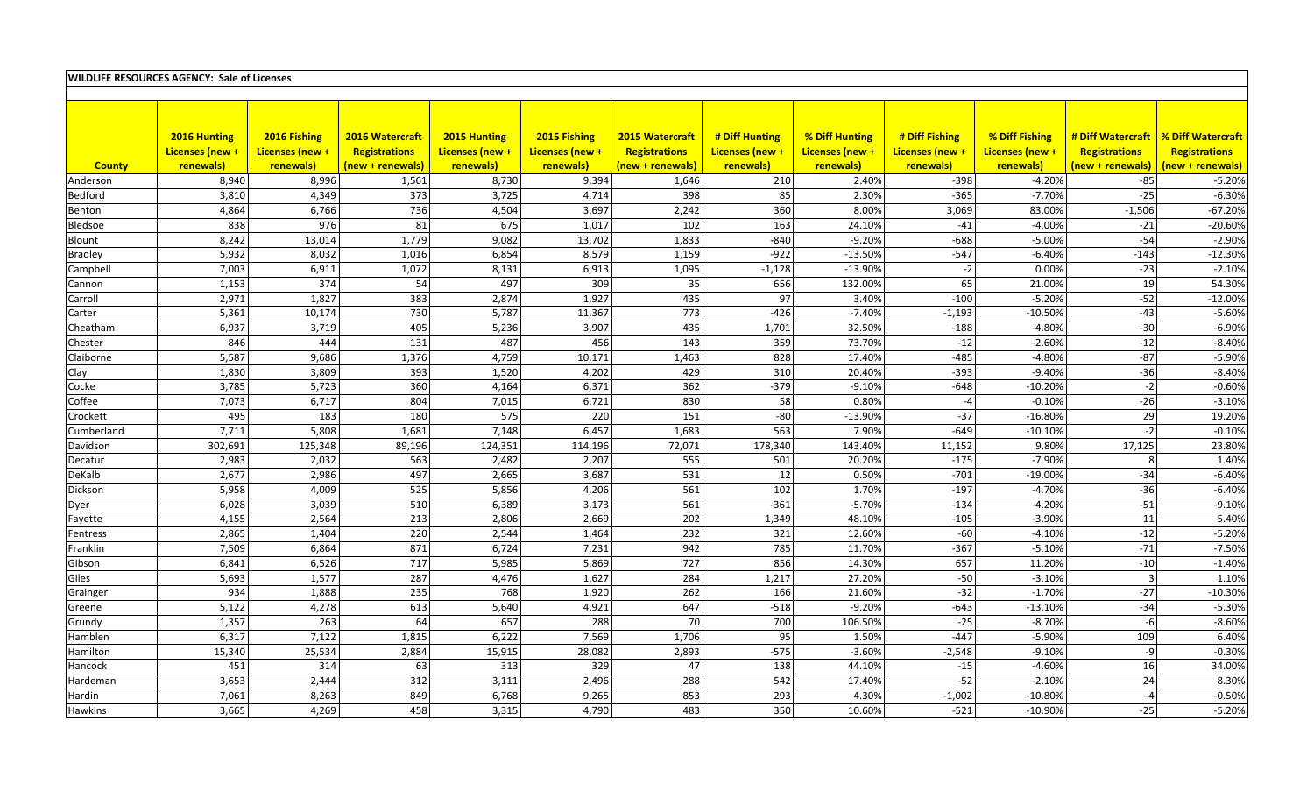| <b>WILDLIFE RESOURCES AGENCY: Sale of Licenses</b> |                 |                 |                  |                 |                 |                  |                 |                  |                 |                       |                                       |                      |
|----------------------------------------------------|-----------------|-----------------|------------------|-----------------|-----------------|------------------|-----------------|------------------|-----------------|-----------------------|---------------------------------------|----------------------|
|                                                    |                 |                 |                  |                 |                 |                  |                 |                  |                 |                       |                                       |                      |
|                                                    |                 |                 |                  |                 |                 |                  |                 |                  |                 |                       |                                       |                      |
|                                                    |                 |                 |                  |                 |                 |                  |                 |                  |                 |                       |                                       |                      |
|                                                    | 2016 Hunting    | 2016 Fishing    | 2016 Watercraft  | 2015 Hunting    | 2015 Fishing    | 2015 Watercraft  | # Diff Hunting  | % Diff Hunting   | # Diff Fishing  | % Diff Fishing        | # Diff Watercraft   % Diff Watercraft |                      |
|                                                    | Licenses (new + | Licenses (new + | Registrations    | Licenses (new + | Licenses (new + | Registrations    | Licenses (new + | Licenses (new +  | Licenses (new + | Licenses (new +       | Registrations                         | <b>Registrations</b> |
| <b>County</b>                                      | renewals)       | renewals)       | (new + renewals) | renewals)       | renewals)       | (new + renewals) | renewals)       | renewals)        | renewals)       | renewals)             | new + renewals)                       | (new + renewals)     |
| Anderson                                           | 8,940           | 8,996           | 1,561            | 8,730           | 9,394           | 1,646            | 210             | 2.40%            | $-398$          | $-4.20%$              | $-85$                                 | $-5.20%$             |
| Bedford                                            | 3,810           | 4,349           | 373              | 3,725           | 4,714           | 398              | 85              | 2.30%            | $-365$          | $-7.70%$              | $-25$                                 | $-6.30%$             |
| Benton                                             | 4,864           | 6,766           | 736              | 4,504           | 3,697           | 2,242            | 360             | 8.00%            | 3,069           | 83.00%                | $-1,506$                              | $-67.20%$            |
| Bledsoe                                            | 838             | 976             | 81               | 675             | 1,017           | 102              | 163             | 24.10%           | $-41$           | $-4.00%$              | $-21$                                 | $-20.60%$            |
| Blount                                             | 8,242           | 13,014          | 1,779            | 9,082           | 13,702          | 1,833            | $-840$          | $-9.20%$         | $-688$          | $-5.00%$              | $-54$                                 | $-2.90%$             |
| <b>Bradley</b>                                     | 5,932           | 8,032           | 1,016            | 6,854           | 8,579           | 1,159            | $-922$          | $-13.50%$        | $-547$          | $-6.40%$              | $-143$                                | $-12.30%$            |
| Campbell                                           | 7,003           | 6,911           | 1,072            | 8,131<br>497    | 6,913<br>309    | 1,095            | $-1,128$        | $-13.90%$        | $-2$            | 0.00%<br>21.00%       | $-23$                                 | $-2.10%$             |
| Cannon                                             | 1,153           | 374             | 54               |                 |                 | 35               | 656             | 132.00%          | 65              |                       | 19                                    | 54.30%               |
| Carroll                                            | 2,971           | 1,827           | 383              | 2,874           | 1,927           | 435<br>773       | 97              | 3.40%            | $-100$          | $-5.20%$              | $-52$<br>$-43$                        | $-12.00%$            |
| Carter                                             | 5,361           | 10,174          | 730<br>405       | 5,787           | 11,367          |                  | $-426$          | $-7.40%$         | $-1,193$        | $-10.50%$<br>$-4.80%$ | $-30$                                 | $-5.60%$             |
| Cheatham                                           | 6,937<br>846    | 3,719           |                  | 5,236<br>487    | 3,907           | 435              | 1,701<br>359    | 32.50%           | $-188$<br>$-12$ |                       | $-12$                                 | $-6.90%$<br>$-8.40%$ |
| Chester                                            |                 | 444<br>9,686    | 131              | 4,759           | 456<br>10,171   | 143              | 828             | 73.70%<br>17.40% | $-485$          | $-2.60%$<br>$-4.80%$  | $-87$                                 | $-5.90%$             |
| Claiborne                                          | 5,587           | 3,809           | 1,376<br>393     | 1,520           | 4,202           | 1,463<br>429     | 310             | 20.40%           | $-393$          | $-9.40%$              | $-36$                                 | $-8.40%$             |
| Clay                                               | 1,830<br>3,785  | 5,723           | 360              | 4,164           | 6,371           | 362              | $-379$          | $-9.10%$         | $-648$          | $-10.20%$             | $-2$                                  | $-0.60%$             |
| Cocke                                              | 7,073           |                 |                  | 7,015           | 6,721           | 830              |                 | 0.80%            | $-4$            | $-0.10%$              | $-26$                                 | $-3.10%$             |
| Coffee                                             | 495             | 6,717<br>183    | 804<br>180       | 575             | 220             | 151              | 58<br>$-80$     | $-13.90%$        | $-37$           | $-16.80%$             | 29                                    | 19.20%               |
| Crockett<br>Cumberland                             | 7,711           | 5,808           | 1,681            | 7,148           | 6,457           | 1,683            | 563             | 7.90%            | $-649$          | $-10.10%$             | $-2$                                  | $-0.10%$             |
| Davidson                                           | 302,691         | 125,348         | 89,196           | 124,351         | 114,196         | 72,071           | 178,340         | 143.40%          | 11,152          | 9.80%                 | 17,125                                | 23.80%               |
|                                                    | 2,983           | 2,032           | 563              | 2,482           | 2,207           | 555              | 501             | 20.20%           | $-175$          | $-7.90%$              | 8                                     | 1.40%                |
| Decatur                                            | 2,677           | 2,986           | 497              | 2,665           | 3,687           | 531              | 12              | 0.50%            | $-701$          | $-19.00%$             | $-34$                                 | $-6.40%$             |
| DeKalb<br>Dickson                                  | 5,958           | 4,009           | 525              | 5,856           | 4,206           | 561              | 102             | 1.70%            | $-197$          | $-4.70%$              | $-36$                                 | $-6.40%$             |
|                                                    | 6,028           | 3,039           | 510              | 6,389           | 3,173           | 561              | $-361$          | $-5.70%$         | $-134$          | $-4.20%$              | $-51$                                 | $-9.10%$             |
| Dyer                                               | 4,155           | 2,564           | 213              | 2,806           | 2,669           | 202              | 1,349           | 48.10%           | $-105$          | $-3.90%$              | 11                                    | 5.40%                |
| Fayette<br>Fentress                                | 2,865           | 1,404           | 220              | 2,544           | 1,464           | 232              | 321             | 12.60%           | $-60$           | $-4.10%$              | $-12$                                 | $-5.20%$             |
| Franklin                                           | 7,509           | 6,864           | 871              | 6,724           | 7,231           | 942              | 785             | 11.70%           | $-367$          | $-5.10%$              | $-71$                                 | $-7.50%$             |
| Gibson                                             | 6,841           | 6,526           | 717              | 5,985           | 5,869           | 727              | 856             | 14.30%           | 657             | 11.20%                | $-10$                                 | $-1.40%$             |
| Giles                                              | 5,693           | 1,577           | 287              | 4,476           | 1,627           | 284              | 1,217           | 27.20%           | $-50$           | $-3.10%$              | $\overline{3}$                        | 1.10%                |
| Grainger                                           | 934             | 1,888           | 235              | 768             | 1,920           | 262              | 166             | 21.60%           | $-32$           | $-1.70%$              | $-27$                                 | $-10.30%$            |
| Greene                                             | 5,122           | 4,278           | 613              | 5,640           | 4,921           | 647              | $-518$          | $-9.20%$         | $-643$          | $-13.10%$             | $-34$                                 | $-5.30%$             |
| Grundy                                             | 1,357           | 263             | 64               | 657             | 288             | 70               | 700             | 106.50%          | $-25$           | $-8.70%$              | $-6$                                  | $-8.60%$             |
| Hamblen                                            | 6,317           | 7,122           | 1,815            | 6,222           | 7,569           | 1,706            | 95              | 1.50%            | $-447$          | $-5.90%$              | 109                                   | 6.40%                |
| Hamilton                                           | 15,340          | 25,534          | 2,884            | 15,915          | 28,082          | 2,893            | $-575$          | $-3.60%$         | $-2,548$        | $-9.10%$              | $-9$                                  | $-0.30%$             |
| Hancock                                            | 451             | 314             | 63               | 313             | 329             | 47               | 138             | 44.10%           | $-15$           | $-4.60%$              | 16                                    | 34.00%               |
| Hardeman                                           | 3,653           | 2,444           | 312              | 3,111           | 2,496           | 288              | 542             | 17.40%           | $-52$           | $-2.10%$              | 24                                    | 8.30%                |
| Hardin                                             | 7,061           | 8,263           | 849              | 6,768           | 9,265           | 853              | 293             | 4.30%            | $-1,002$        | $-10.80%$             | $-4$                                  | $-0.50%$             |
| Hawkins                                            | 3,665           | 4,269           | 458              | 3,315           | 4,790           | 483              | 350             | 10.60%           | $-521$          | $-10.90%$             | $-25$                                 | $-5.20%$             |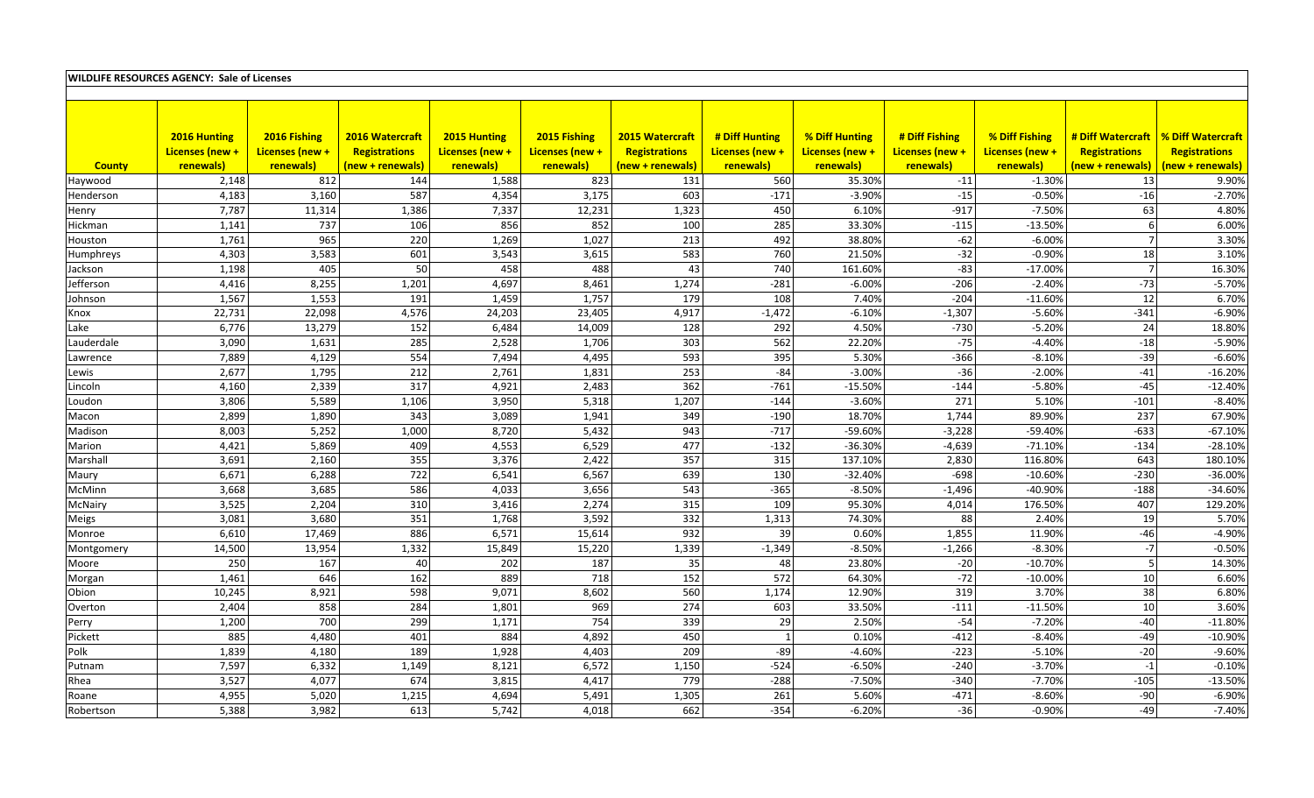| <b>WILDLIFE RESOURCES AGENCY: Sale of Licenses</b> |                 |                 |                  |                 |                 |                  |                 |                    |                 |                       |                                       |                      |
|----------------------------------------------------|-----------------|-----------------|------------------|-----------------|-----------------|------------------|-----------------|--------------------|-----------------|-----------------------|---------------------------------------|----------------------|
|                                                    |                 |                 |                  |                 |                 |                  |                 |                    |                 |                       |                                       |                      |
|                                                    |                 |                 |                  |                 |                 |                  |                 |                    |                 |                       |                                       |                      |
|                                                    |                 |                 |                  |                 |                 |                  |                 |                    |                 |                       |                                       |                      |
|                                                    | 2016 Hunting    | 2016 Fishing    | 2016 Watercraft  | 2015 Hunting    | 2015 Fishing    | 2015 Watercraft  | # Diff Hunting  | % Diff Hunting     | # Diff Fishing  | % Diff Fishing        | # Diff Watercraft   % Diff Watercraft |                      |
|                                                    | Licenses (new + | Licenses (new + | Registrations    | Licenses (new + | Licenses (new + | Registrations    | Licenses (new + | Licenses (new +    | Licenses (new + | Licenses (new +       | Registrations                         | <b>Registrations</b> |
| <b>County</b>                                      | renewals)       | renewals)       | (new + renewals) | renewals)       | renewals)       | (new + renewals) | renewals)       | renewals)          | renewals)       | renewals)             | new + renewals)                       | (new + renewals)     |
| Haywood                                            | 2,148           | 812             | 144<br>587       | 1,588           | 823<br>3,175    | 131              | 560             | 35.30%<br>$-3.90%$ | $-11$<br>$-15$  | $-1.30%$<br>$-0.50%$  | 13<br>$-16$                           | 9.90%<br>$-2.70%$    |
| Henderson                                          | 4,183           | 3,160           |                  | 4,354           |                 | 603              | $-171$          |                    |                 |                       |                                       |                      |
| Henry                                              | 7,787           | 11,314          | 1,386            | 7,337<br>856    | 12,231<br>852   | 1,323<br>100     | 450<br>285      | 6.10%<br>33.30%    | $-917$          | $-7.50%$<br>$-13.50%$ | 63<br>6                               | 4.80%<br>6.00%       |
| Hickman                                            | 1,141           | 737<br>965      | 106<br>220       | 1,269           | 1,027           | 213              | 492             | 38.80%             | $-115$<br>$-62$ | $-6.00%$              | $\overline{7}$                        | 3.30%                |
| Houston                                            | 1,761<br>4,303  |                 | 601              | 3,543           | 3,615           | 583              | 760             | 21.50%             | $-32$           | $-0.90%$              | 18                                    | 3.10%                |
| Humphreys                                          | 1,198           | 3,583<br>405    | 50               | 458             | 488             | 43               | 740             | 161.60%            | $-83$           | $-17.00%$             | $\overline{7}$                        | 16.30%               |
| Jackson<br>Iefferson                               | 4,416           | 8,255           | 1,201            | 4,697           | 8,461           | 1,274            | $-281$          | $-6.00%$           | $-206$          | $-2.40%$              | $-73$                                 | $-5.70%$             |
|                                                    | 1,567           | 1,553           | 191              | 1,459           | 1,757           | 179              | 108             | 7.40%              | $-204$          | $-11.60%$             | 12                                    | 6.70%                |
| Johnson                                            | 22,731          | 22,098          | 4,576            | 24,203          | 23,405          | 4,917            | $-1,472$        | $-6.10%$           | $-1,307$        | $-5.60%$              | $-341$                                | $-6.90%$             |
| Knox<br>Lake                                       | 6,776           | 13,279          | 152              | 6,484           | 14,009          | 128              | 292             | 4.50%              | $-730$          | $-5.20%$              | 24                                    | 18.80%               |
| Lauderdale                                         | 3,090           | 1,631           | 285              | 2,528           | 1,706           | 303              | 562             | 22.20%             | $-75$           | $-4.40%$              | $-18$                                 | $-5.90%$             |
| Lawrence                                           | 7,889           | 4,129           | 554              | 7,494           | 4,495           | 593              | 395             | 5.30%              | $-366$          | $-8.10%$              | $-39$                                 | $-6.60%$             |
| Lewis                                              | 2,677           | 1,795           | 212              | 2,761           | 1,831           | 253              | $-84$           | $-3.00%$           | $-36$           | $-2.00%$              | $-41$                                 | $-16.20%$            |
| Lincoln                                            | 4,160           | 2,339           | 317              | 4,921           | 2,483           | 362              | $-761$          | $-15.50%$          | $-144$          | $-5.80%$              | $-45$                                 | $-12.40%$            |
| Loudon                                             | 3,806           | 5,589           | 1,106            | 3,950           | 5,318           | 1,207            | $-144$          | $-3.60%$           | 271             | 5.10%                 | $-101$                                | $-8.40%$             |
| Macon                                              | 2,899           | 1,890           | 343              | 3,089           | 1,941           | 349              | $-190$          | 18.70%             | 1,744           | 89.90%                | 237                                   | 67.90%               |
| Madison                                            | 8,003           | 5,252           | 1,000            | 8,720           | 5,432           | 943              | $-717$          | -59.60%            | $-3,228$        | -59.40%               | $-633$                                | $-67.10%$            |
| Marion                                             | 4,421           | 5,869           | 409              | 4,553           | 6,529           | 477              | $-132$          | $-36.30%$          | $-4,639$        | $-71.10%$             | $-134$                                | $-28.10%$            |
| Marshall                                           | 3,691           | 2,160           | 355              | 3,376           | 2,422           | 357              | 315             | 137.10%            | 2,830           | 116.80%               | 643                                   | 180.10%              |
| Maury                                              | 6,671           | 6,288           | 722              | 6,541           | 6,567           | 639              | 130             | $-32.40%$          | $-698$          | $-10.60%$             | $-230$                                | $-36.00%$            |
| McMinn                                             | 3,668           | 3,685           | 586              | 4,033           | 3,656           | 543              | $-365$          | $-8.50%$           | $-1,496$        | -40.90%               | $-188$                                | $-34.60%$            |
| McNairy                                            | 3,525           | 2,204           | 310              | 3,416           | 2,274           | 315              | 109             | 95.30%             | 4,014           | 176.50%               | 407                                   | 129.20%              |
| Meigs                                              | 3,081           | 3,680           | 351              | 1,768           | 3,592           | 332              | 1,313           | 74.30%             | 88              | 2.40%                 | 19                                    | 5.70%                |
| Monroe                                             | 6,610           | 17,469          | 886              | 6,571           | 15,614          | 932              | 39              | 0.60%              | 1,855           | 11.90%                | $-46$                                 | $-4.90%$             |
| Montgomery                                         | 14,500          | 13,954          | 1,332            | 15,849          | 15,220          | 1,339            | $-1,349$        | $-8.50%$           | $-1,266$        | $-8.30%$              | $\textnormal{-7}$                     | $-0.50%$             |
| Moore                                              | 250             | 167             | 40               | 202             | 187             | 35               | 48              | 23.80%             | $-20$           | $-10.70%$             | $5\phantom{.0}$                       | 14.30%               |
| Morgan                                             | 1,461           | 646             | 162              | 889             | 718             | 152              | 572             | 64.30%             | $-72$           | $-10.00%$             | 10                                    | 6.60%                |
| Obion                                              | 10,245          | 8,921           | 598              | 9,071           | 8,602           | 560              | 1,174           | 12.90%             | 319             | 3.70%                 | 38                                    | 6.80%                |
| Overton                                            | 2,404           | 858             | 284              | 1,801           | 969             | 274              | 603             | 33.50%             | $-111$          | $-11.50%$             | 10                                    | 3.60%                |
| Perry                                              | 1,200           | 700             | 299              | 1,171           | 754             | 339              | 29              | 2.50%              | $-54$           | $-7.20%$              | $-40$                                 | $-11.80%$            |
| Pickett                                            | 885             | 4,480           | 401              | 884             | 4,892           | 450              | $\mathbf{1}$    | 0.10%              | $-412$          | $-8.40%$              | $-49$                                 | $-10.90%$            |
| Polk                                               | 1,839           | 4,180           | 189              | 1,928           | 4,403           | 209              | $-89$           | $-4.60%$           | $-223$          | $-5.10%$              | $-20$                                 | $-9.60%$             |
| Putnam                                             | 7,597           | 6,332           | 1,149            | 8,121           | 6,572           | 1,150            | $-524$          | $-6.50%$           | $-240$          | $-3.70%$              | $^{\rm -1}$                           | $-0.10%$             |
| Rhea                                               | 3,527           | 4,077           | 674              | 3,815           | 4,417           | 779              | $-288$          | $-7.50%$           | $-340$          | $-7.70%$              | $-105$                                | $-13.50%$            |
| Roane                                              | 4,955           | 5,020           | 1,215            | 4,694           | 5,491           | 1,305            | 261             | 5.60%              | $-471$          | $-8.60%$              | $-90$                                 | $-6.90%$             |
| Robertson                                          | 5,388           | 3,982           | 613              | 5,742           | 4,018           | 662              | $-354$          | $-6.20%$           | $-36$           | $-0.90%$              | $-49$                                 | $-7.40%$             |